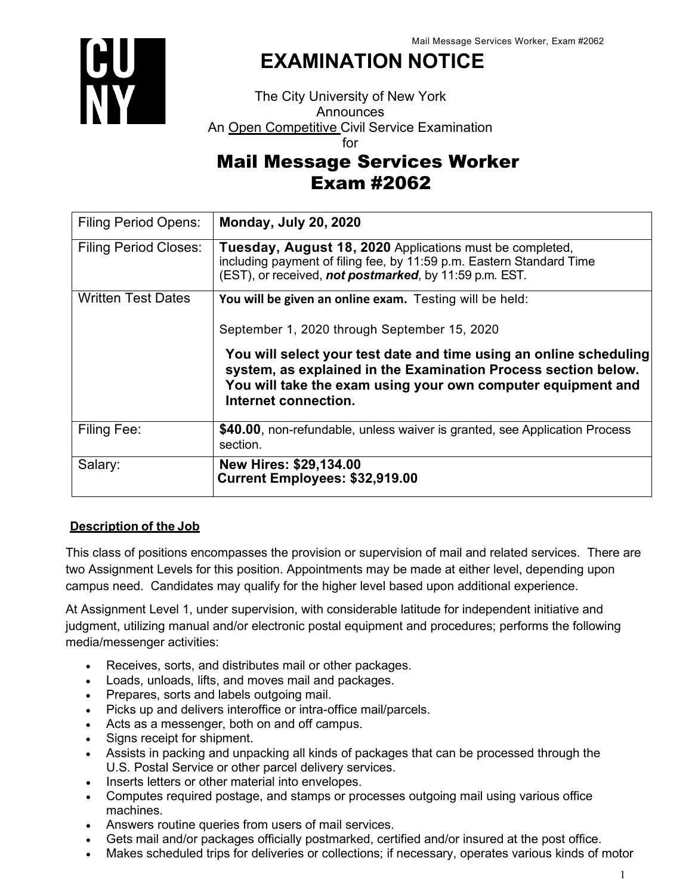

# **EXAMINATION NOTICE**

The City University of New York **Announces** An Open Competitive Civil Service Examination for

## Mail Message Services Worker Exam #2062

| <b>Filing Period Opens:</b>  | <b>Monday, July 20, 2020</b>                                                                                                                                                                                                 |
|------------------------------|------------------------------------------------------------------------------------------------------------------------------------------------------------------------------------------------------------------------------|
| <b>Filing Period Closes:</b> | Tuesday, August 18, 2020 Applications must be completed,<br>including payment of filing fee, by 11:59 p.m. Eastern Standard Time<br>(EST), or received, not postmarked, by 11:59 p.m. EST.                                   |
| <b>Written Test Dates</b>    | You will be given an online exam. Testing will be held:                                                                                                                                                                      |
|                              | September 1, 2020 through September 15, 2020                                                                                                                                                                                 |
|                              | You will select your test date and time using an online scheduling<br>system, as explained in the Examination Process section below.<br>You will take the exam using your own computer equipment and<br>Internet connection. |
| Filing Fee:                  | \$40.00, non-refundable, unless waiver is granted, see Application Process<br>section.                                                                                                                                       |
| Salary:                      | New Hires: \$29,134.00<br><b>Current Employees: \$32,919.00</b>                                                                                                                                                              |

## **Description of the Job**

This class of positions encompasses the provision or supervision of mail and related services. There are two Assignment Levels for this position. Appointments may be made at either level, depending upon campus need. Candidates may qualify for the higher level based upon additional experience.

At Assignment Level 1, under supervision, with considerable latitude for independent initiative and judgment, utilizing manual and/or electronic postal equipment and procedures; performs the following media/messenger activities:

- Receives, sorts, and distributes mail or other packages.
- Loads, unloads, lifts, and moves mail and packages.
- Prepares, sorts and labels outgoing mail.
- Picks up and delivers interoffice or intra-office mail/parcels.
- Acts as a messenger, both on and off campus.
- Signs receipt for shipment.
- Assists in packing and unpacking all kinds of packages that can be processed through the U.S. Postal Service or other parcel delivery services.
- Inserts letters or other material into envelopes.
- Computes required postage, and stamps or processes outgoing mail using various office machines.
- Answers routine queries from users of mail services.
- Gets mail and/or packages officially postmarked, certified and/or insured at the post office.
- Makes scheduled trips for deliveries or collections; if necessary, operates various kinds of motor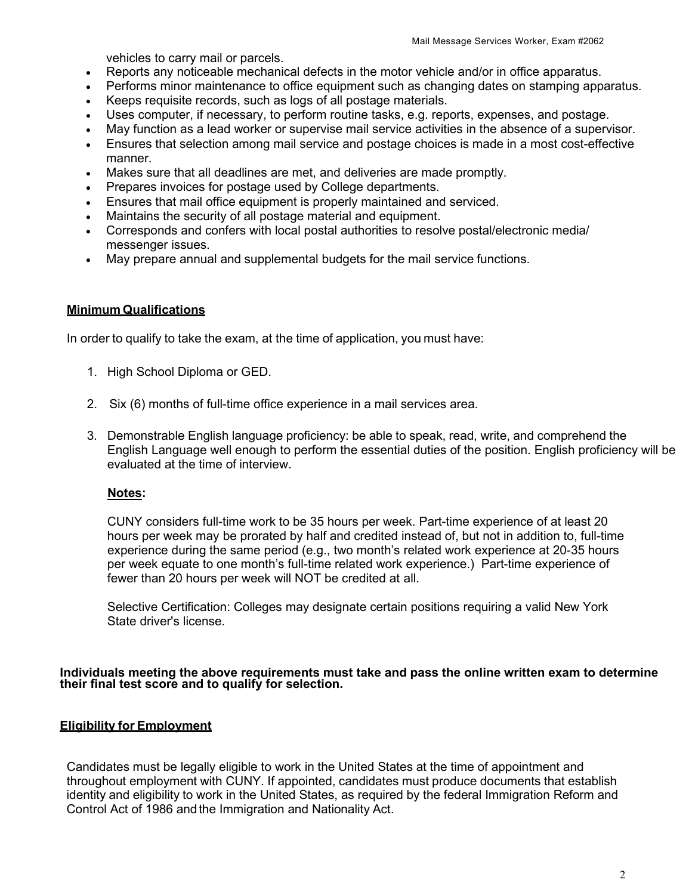vehicles to carry mail or parcels.

- Reports any noticeable mechanical defects in the motor vehicle and/or in office apparatus.
- Performs minor maintenance to office equipment such as changing dates on stamping apparatus.
- Keeps requisite records, such as logs of all postage materials.
- Uses computer, if necessary, to perform routine tasks, e.g. reports, expenses, and postage.
- May function as a lead worker or supervise mail service activities in the absence of a supervisor.
- Ensures that selection among mail service and postage choices is made in a most cost-effective manner.
- Makes sure that all deadlines are met, and deliveries are made promptly.
- Prepares invoices for postage used by College departments.
- Ensures that mail office equipment is properly maintained and serviced.
- Maintains the security of all postage material and equipment.
- Corresponds and confers with local postal authorities to resolve postal/electronic media/ messenger issues.
- May prepare annual and supplemental budgets for the mail service functions.

#### **Minimum Qualifications**

In order to qualify to take the exam, at the time of application, you must have:

- 1. High School Diploma or GED.
- 2. Six (6) months of full-time office experience in a mail services area.
- 3. Demonstrable English language proficiency: be able to speak, read, write, and comprehend the English Language well enough to perform the essential duties of the position. English proficiency will be evaluated at the time of interview.

#### **Notes:**

CUNY considers full-time work to be 35 hours per week. Part-time experience of at least 20 hours per week may be prorated by half and credited instead of, but not in addition to, full-time experience during the same period (e.g., two month's related work experience at 20-35 hours per week equate to one month's full-time related work experience.) Part-time experience of fewer than 20 hours per week will NOT be credited at all.

Selective Certification: Colleges may designate certain positions requiring a valid New York State driver's license.

#### **Individuals meeting the above requirements must take and pass the online written exam to determine their final test score and to qualify for selection.**

#### **Eligibility for Employment**

Candidates must be legally eligible to work in the United States at the time of appointment and throughout employment with CUNY. If appointed, candidates must produce documents that establish identity and eligibility to work in the United States, as required by the federal Immigration Reform and Control Act of 1986 and the Immigration and Nationality Act.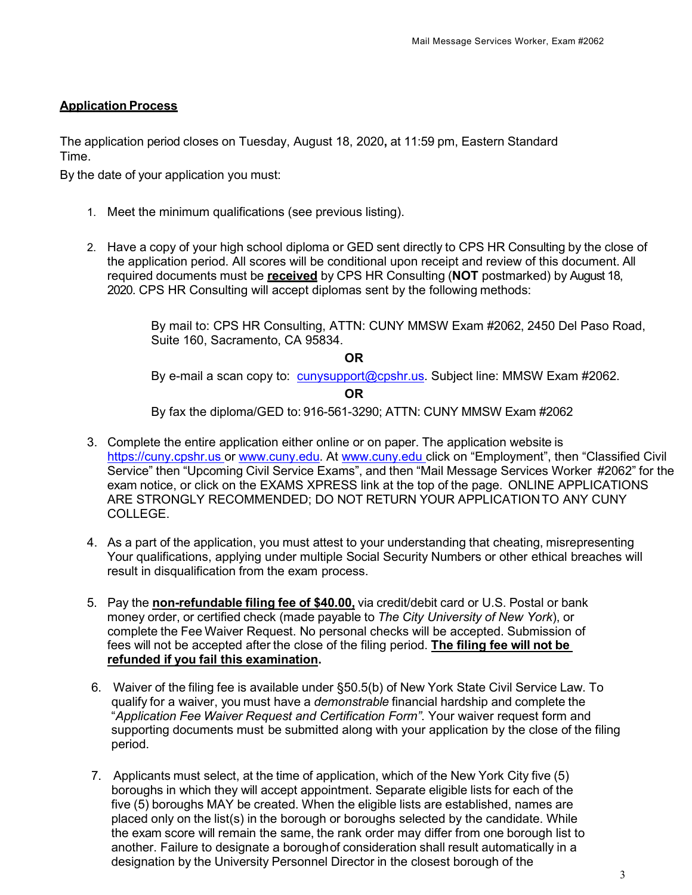#### **Application Process**

The application period closes on Tuesday, August 18, 2020**,** at 11:59 pm, Eastern Standard Time.

By the date of your application you must:

- 1. Meet the minimum qualifications (see previous listing).
- 2. Have a copy of your high school diploma or GED sent directly to CPS HR Consulting by the close of the application period. All scores will be conditional upon receipt and review of this document. All required documents must be **received** by CPS HR Consulting (**NOT** postmarked) by August 18, 2020. CPS HR Consulting will accept diplomas sent by the following methods:

By mail to: CPS HR Consulting, ATTN: CUNY MMSW Exam #2062, 2450 Del Paso Road, Suite 160, Sacramento, CA 95834.

 *OR* OR

By e-mail a scan copy to: cunysupport@cpshr.us. Subject line: MMSW Exam #2062.

#### **OR**

By fax the diploma/GED to: 916-561-3290; ATTN: CUNY MMSW Exam #2062

- 3. Complete the entire application either online or on paper. The application website is https://cuny.cpshr.us or www.cuny.edu. At www.cuny.edu click on "Employment", then "Classified Civil Service" then "Upcoming Civil Service Exams", and then "Mail Message Services Worker #2062" for the exam notice, or click on the EXAMS XPRESS link at the top of the page. ONLINE APPLICATIONS ARE STRONGLY RECOMMENDED; DO NOT RETURN YOUR APPLICATIONTO ANY CUNY COLLEGE.
- 4. As a part of the application, you must attest to your understanding that cheating, misrepresenting Your qualifications, applying under multiple Social Security Numbers or other ethical breaches will result in disqualification from the exam process.
- 5. Pay the **non-refundable filing fee of \$40.00,** via credit/debit card or U.S. Postal or bank money order, or certified check (made payable to *The City University of New York*), or complete the Fee Waiver Request. No personal checks will be accepted. Submission of fees will not be accepted after the close of the filing period. **The filing fee will not be refunded if you fail this examination.**
- 6. Waiver of the filing fee is available under §50.5(b) of New York State Civil Service Law. To qualify for a waiver, you must have a *demonstrable* financial hardship and complete the "*Application Fee Waiver Request and Certification Form"*. Your waiver request form and supporting documents must be submitted along with your application by the close of the filing period.
- 7. Applicants must select, at the time of application, which of the New York City five (5) boroughs in which they will accept appointment. Separate eligible lists for each of the five (5) boroughs MAY be created. When the eligible lists are established, names are placed only on the list(s) in the borough or boroughs selected by the candidate. While the exam score will remain the same, the rank order may differ from one borough list to another. Failure to designate a boroughof consideration shall result automatically in a designation by the University Personnel Director in the closest borough of the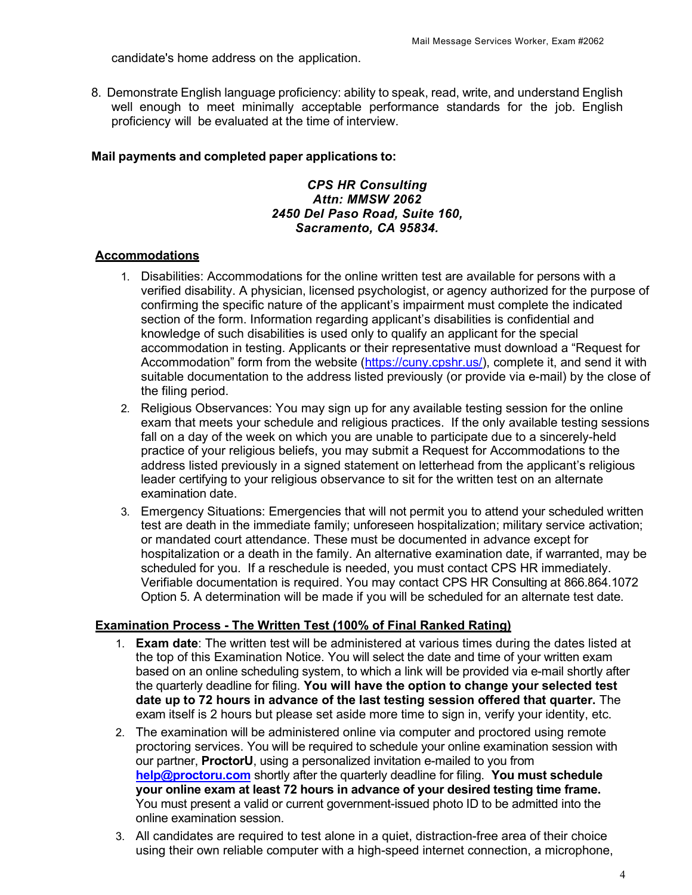candidate's home address on the application.

8. Demonstrate English language proficiency: ability to speak, read, write, and understand English well enough to meet minimally acceptable performance standards for the job. English proficiency will be evaluated at the time of interview.

#### **Mail payments and completed paper applications to:**

*CPS HR Consulting Attn: MMSW 2062 2450 Del Paso Road, Suite 160, Sacramento, CA 95834.*

#### **Accommodations**

- 1. Disabilities: Accommodations for the online written test are available for persons with a verified disability. A physician, licensed psychologist, or agency authorized for the purpose of confirming the specific nature of the applicant's impairment must complete the indicated section of the form. Information regarding applicant's disabilities is confidential and knowledge of such disabilities is used only to qualify an applicant for the special accommodation in testing. Applicants or their representative must download a "Request for Accommodation" form from the website (https://cuny.cpshr.us/), complete it, and send it with suitable documentation to the address listed previously (or provide via e-mail) by the close of the filing period.
- 2. Religious Observances: You may sign up for any available testing session for the online exam that meets your schedule and religious practices. If the only available testing sessions fall on a day of the week on which you are unable to participate due to a sincerely-held practice of your religious beliefs, you may submit a Request for Accommodations to the address listed previously in a signed statement on letterhead from the applicant's religious leader certifying to your religious observance to sit for the written test on an alternate examination date.
- 3. Emergency Situations: Emergencies that will not permit you to attend your scheduled written test are death in the immediate family; unforeseen hospitalization; military service activation; or mandated court attendance. These must be documented in advance except for hospitalization or a death in the family. An alternative examination date, if warranted, may be scheduled for you. If a reschedule is needed, you must contact CPS HR immediately. Verifiable documentation is required. You may contact CPS HR Consulting at 866.864.1072 Option 5. A determination will be made if you will be scheduled for an alternate test date.

#### **Examination Process - The Written Test (100% of Final Ranked Rating)**

- 1. **Exam date**: The written test will be administered at various times during the dates listed at the top of this Examination Notice. You will select the date and time of your written exam based on an online scheduling system, to which a link will be provided via e-mail shortly after the quarterly deadline for filing. **You will have the option to change your selected test date up to 72 hours in advance of the last testing session offered that quarter.** The exam itself is 2 hours but please set aside more time to sign in, verify your identity, etc.
- 2. The examination will be administered online via computer and proctored using remote proctoring services. You will be required to schedule your online examination session with our partner, **ProctorU**, using a personalized invitation e-mailed to you from **help@proctoru.com** shortly after the quarterly deadline for filing. **You must schedule your online exam at least 72 hours in advance of your desired testing time frame.** You must present a valid or current government-issued photo ID to be admitted into the online examination session.
- 3. All candidates are required to test alone in a quiet, distraction-free area of their choice using their own reliable computer with a high-speed internet connection, a microphone,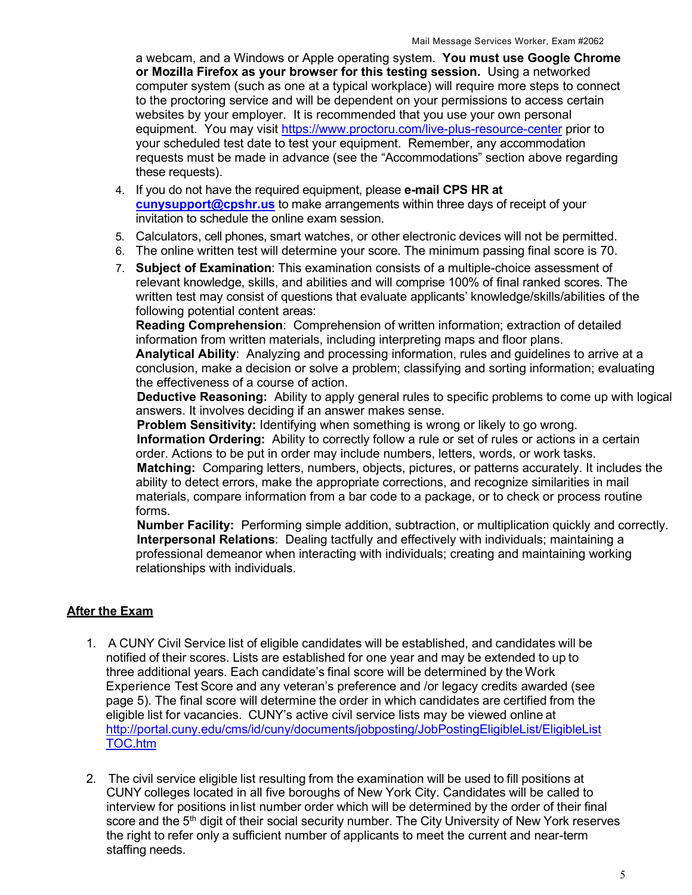a webcam, and a Windows or Apple operating system. **You must use Google Chrome or Mozilla Firefox as your browser for this testing session.** Using a networked computer system (such as one at a typical workplace) will require more steps to connect to the proctoring service and will be dependent on your permissions to access certain websites by your employer. It is recommended that you use your own personal equipment. You may visit https://www.proctoru.com/live-plus-resource-center prior to your scheduled test date to test your equipment. Remember, any accommodation requests must be made in advance (see the "Accommodations" section above regarding these requests).

- 4. If you do not have the required equipment, please **e-mail CPS HR at cunysupport@cpshr.us** to make arrangements within three days of receipt of your invitation to schedule the online exam session.
- 5. Calculators, cell phones, smart watches, or other electronic devices will not be permitted.
- 6. The online written test will determine your score. The minimum passing final score is 70.
- 7. **Subject of Examination**: This examination consists of a multiple-choice assessment of relevant knowledge, skills, and abilities and will comprise 100% of final ranked scores. The written test may consist of questions that evaluate applicants' knowledge/skills/abilities of the following potential content areas:

**Reading Comprehension**: Comprehension of written information; extraction of detailed information from written materials, including interpreting maps and floor plans.

**Analytical Ability**: Analyzing and processing information, rules and guidelines to arrive at a conclusion, make a decision or solve a problem; classifying and sorting information; evaluating the effectiveness of a course of action.

**Deductive Reasoning:** Ability to apply general rules to specific problems to come up with logical answers. It involves deciding if an answer makes sense.

**Problem Sensitivity:** Identifying when something is wrong or likely to go wrong. **Information Ordering:** Ability to correctly follow a rule or set of rules or actions in a certain order. Actions to be put in order may include numbers, letters, words, or work tasks. **Matching:** Comparing letters, numbers, objects, pictures, or patterns accurately. It includes the ability to detect errors, make the appropriate corrections, and recognize similarities in mail materials, compare information from a bar code to a package, or to check or process routine forms.

**Number Facility:** Performing simple addition, subtraction, or multiplication quickly and correctly. **Interpersonal Relations**: Dealing tactfully and effectively with individuals; maintaining a professional demeanor when interacting with individuals; creating and maintaining working relationships with individuals.

### **After the Exam**

- 1. A CUNY Civil Service list of eligible candidates will be established, and candidates will be notified of their scores. Lists are established for one year and may be extended to up to three additional years. Each candidate's final score will be determined by the Work Experience Test Score and any veteran's preference and /or legacy credits awarded (see page 5). The final score will determine the order in which candidates are certified from the eligible list for vacancies. CUNY's active civil service lists may be viewed online at http://portal.cuny.edu/cms/id/cuny/documents/jobposting/JobPostingEligibleList/EligibleList TOC.htm
- 2. The civil service eligible list resulting from the examination will be used to fill positions at CUNY colleges located in all five boroughs of New York City. Candidates will be called to interview for positions inlist number order which will be determined by the order of their final score and the 5<sup>th</sup> digit of their social security number. The City University of New York reserves the right to refer only a sufficient number of applicants to meet the current and near-term staffing needs.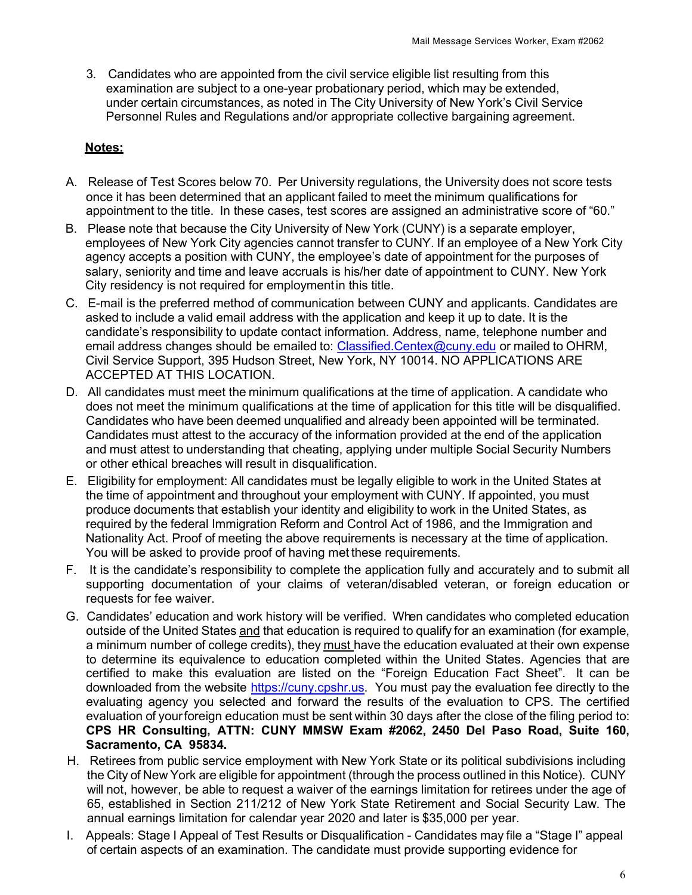3. Candidates who are appointed from the civil service eligible list resulting from this examination are subject to a one-year probationary period, which may be extended, under certain circumstances, as noted in The City University of New York's Civil Service Personnel Rules and Regulations and/or appropriate collective bargaining agreement.

#### **Notes:**

- A. Release of Test Scores below 70. Per University regulations, the University does not score tests once it has been determined that an applicant failed to meet the minimum qualifications for appointment to the title. In these cases, test scores are assigned an administrative score of "60."
- B. Please note that because the City University of New York (CUNY) is a separate employer, employees of New York City agencies cannot transfer to CUNY. If an employee of a New York City agency accepts a position with CUNY, the employee's date of appointment for the purposes of salary, seniority and time and leave accruals is his/her date of appointment to CUNY. New York City residency is not required for employmentin this title.
- C. E-mail is the preferred method of communication between CUNY and applicants. Candidates are asked to include a valid email address with the application and keep it up to date. It is the candidate's responsibility to update contact information. Address, name, telephone number and email address changes should be emailed to: Classified.Centex@cuny.edu or mailed to OHRM, Civil Service Support, 395 Hudson Street, New York, NY 10014. NO APPLICATIONS ARE ACCEPTED AT THIS LOCATION.
- D. All candidates must meet the minimum qualifications at the time of application. A candidate who does not meet the minimum qualifications at the time of application for this title will be disqualified. Candidates who have been deemed unqualified and already been appointed will be terminated. Candidates must attest to the accuracy of the information provided at the end of the application and must attest to understanding that cheating, applying under multiple Social Security Numbers or other ethical breaches will result in disqualification.
- E. Eligibility for employment: All candidates must be legally eligible to work in the United States at the time of appointment and throughout your employment with CUNY. If appointed, you must produce documents that establish your identity and eligibility to work in the United States, as required by the federal Immigration Reform and Control Act of 1986, and the Immigration and Nationality Act. Proof of meeting the above requirements is necessary at the time of application. You will be asked to provide proof of having met these requirements.
- F. It is the candidate's responsibility to complete the application fully and accurately and to submit all supporting documentation of your claims of veteran/disabled veteran, or foreign education or requests for fee waiver.
- G. Candidates' education and work history will be verified. When candidates who completed education outside of the United States and that education is required to qualify for an examination (for example, a minimum number of college credits), they must have the education evaluated at their own expense to determine its equivalence to education completed within the United States. Agencies that are certified to make this evaluation are listed on the "Foreign Education Fact Sheet". It can be downloaded from the website https://cuny.cpshr.us. You must pay the evaluation fee directly to the evaluating agency you selected and forward the results of the evaluation to CPS. The certified evaluation of your foreign education must be sent within 30 days after the close of the filing period to: **CPS HR Consulting, ATTN: CUNY MMSW Exam #2062, 2450 Del Paso Road, Suite 160, Sacramento, CA 95834.**
- H. Retirees from public service employment with New York State or its political subdivisions including the City of New York are eligible for appointment (through the process outlined in this Notice). CUNY will not, however, be able to request a waiver of the earnings limitation for retirees under the age of 65, established in Section 211/212 of New York State Retirement and Social Security Law. The annual earnings limitation for calendar year 2020 and later is \$35,000 per year.
- I. Appeals: Stage I Appeal of Test Results or Disqualification Candidates may file a "Stage I" appeal of certain aspects of an examination. The candidate must provide supporting evidence for